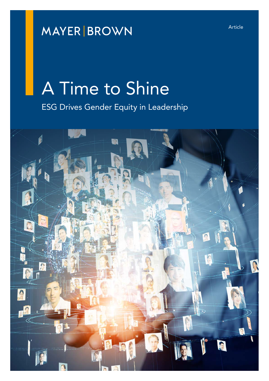## **MAYER BROWN**

# A Time to Shine

ESG Drives Gender Equity in Leadership

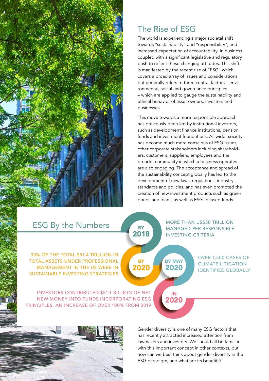## The Rise of ESG

The world is experiencing a major societal shift towards "sustainability" and "responsibility", and increased expectation of accountability, in business coupled with a significant legislative and regulatory push to reflect these changing attitudes. This shift is manifested by the recent rise of "ESG" which covers a broad array of issues and considerations but generally refers to three central factors – environmental, social and governance principles – which are applied to gauge the sustainability and ethical behavior of asset owners, investors and businesses.

This move towards a more responsible approach has previously been led by institutional investors, such as development finance institutions, pension funds and investment foundations. As wider society has become much more conscious of ESG issues, other corporate stakeholders including shareholders, customers, suppliers, employees and the broader community in which a business operates are also engaging. The acceptance and spread of the sustainability concept globally has led to the development of new laws, regulations, industry standards and policies, and has even prompted the creation of new investment products such as green bonds and loans, as well as ESG-focused funds.

| <b>ESG By the Numbers</b>                                                                                                                                | <b>BY</b><br>2018 |                       | <b>MORE THAN US\$30 TRILLION</b><br><b>MANAGED PER RESPONSIBLE</b><br><b>INVESTING CRITERIA</b> |  |
|----------------------------------------------------------------------------------------------------------------------------------------------------------|-------------------|-----------------------|-------------------------------------------------------------------------------------------------|--|
| 33% OF THE TOTAL \$51.4 TRILLION IN<br><b>TOTAL ASSETS UNDER PROFESSIONAL</b><br><b>MANAGEMENT IN THE US WERE IN</b><br>SUSTAINABLE INVESTING STRATEGIES | <b>BY</b><br>2020 | <b>BY MAY</b><br>2020 | <b>OVER 1,500 CASES OF</b><br><b>CLIMATE LITIGATION</b><br><b>IDENTIFIED GLOBALLY</b>           |  |
| <b>INVESTORS CONTRIBUTED \$51.1 BILLION OF NET</b><br>NEW MONEY INTO FUNDS INCORPORATING ESG<br>PRINCIPLES, AN INCREASE OF OVER 100% FROM 2019           |                   | IN<br>2020            |                                                                                                 |  |

 $2 \times 2 \times 2 \times 2$  ,  $2 \times 2 \times 2 \times 2$ Gender diversity is one of many ESG factors that has recently attracted increased attention from lawmakers and investors. We should all be familiar with this important concept in other contexts, but how can we best think about gender diversity in the ESG paradigm, and what are its benefits?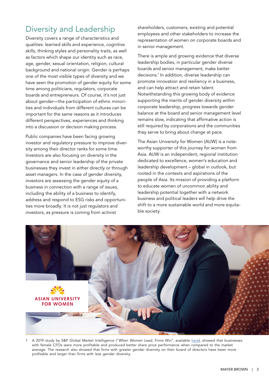#### Diversity and Leadership

Diversity covers a range of characteristics and qualities: learned skills and experience, cognitive skills, thinking styles and personality traits, as well as factors which shape our identity such as race, age, gender, sexual orientation, religion, cultural background and national origin. Gender is perhaps one of the most visible types of diversity and we have seen the promotion of gender equity for some time among politicians, regulators, corporate boards and entrepreneurs. Of course, it's not just about gender—the participation of ethnic minorities and individuals from different cultures can be important for the same reasons as it introduces different perspectives, experiences and thinking into a discussion or decision making process.

Public companies have been facing growing investor and regulatory pressure to improve diversity among their director ranks for some time. Investors are also focusing on diversity in the governance and senior leadership of the private businesses they invest in either directly or through asset managers. In the case of gender diversity, investors are assessing the gender equity of a business in connection with a range of issues, including the ability of a business to identify, address and respond to ESG risks and opportunities more broadly. It is not just regulators and investors, as pressure is coming from activist

shareholders, customers, existing and potential employees and other stakeholders to increase the representation of women on corporate boards and in senior management.

There is ample and growing evidence that diverse leadership bodies, in particular gender diverse boards and senior management, make better decisions.1 In addition, diverse leadership can promote innovation and resiliency in a business, and can help attract and retain talent. Notwithstanding this growing body of evidence supporting the merits of gender diversity within corporate leadership, progress towards gender balance at the board and senior management level remains slow, indicating that affirmative action is still required by corporations and the communities they serve to bring about change at pace.

The Asian University for Women (AUW) is a noteworthy supporter of this journey for women from Asia. AUW is an independent, regional institution dedicated to excellence, women's education and leadership development – global in outlook, but rooted in the contexts and aspirations of the people of Asia. Its mission of providing a platform to educate women of uncommon ability and leadership potential together with a network business and political leaders will help drive the shift to a more sustainable world and more equitable society.



1 A 2019 study by S&P Global Market Intelligence ("*When Women Lead, Firms Win*", available [here](https://www.spglobal.com/en/research-insights/featured/when-women-lead-firms-win)), showed that businesses with female CFOs were more profitable and produced better share price performance when compared to the market average. The research also showed that firms with greater gender diversity on their board of directors have been more profitable and larger than firms with less gender diversity.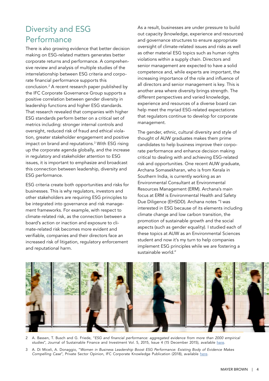### Diversity and ESG Performance

There is also growing evidence that better decision making on ESG-related matters generates better corporate returns and performance. A comprehensive review and analysis of multiple studies of the interrelationship between ESG criteria and corporate financial performance supports this conclusion.2 A recent research paper published by the IFC Corporate Governance Group supports a positive correlation between gender diversity in leadership functions and higher ESG standards. That research revealed that companies with higher ESG standards perform better on a critical set of metrics including: stronger internal controls and oversight, reduced risk of fraud and ethical violation, greater stakeholder engagement and positive impact on brand and reputations.3 With ESG rising up the corporate agenda globally, and the increase in regulatory and stakeholder attention to ESG issues, it is important to emphasize and broadcast this connection between leadership, diversity and ESG performance.

ESG criteria create both opportunities and risks for businesses. This is why regulators, investors and other stakeholders are requiring ESG principles to be integrated into governance and risk management frameworks. For example, with respect to climate-related risk, as the connection between a board's action or inaction and exposure to climate-related risk becomes more evident and verifiable, companies and their directors face an increased risk of litigation, regulatory enforcement and reputational harm.

As a result, businesses are under pressure to build out capacity (knowledge, experience and resources) and governance structures to ensure appropriate oversight of climate-related issues and risks as well as other material ESG topics such as human rights violations within a supply chain. Directors and senior management are expected to have a solid competence and, while experts are important, the increasing importance of the role and influence of all directors and senior management is key. This is another area where diversity brings strength. The different perspectives and varied knowledge, experience and resources of a diverse board can help meet the myriad ESG-related expectations that regulators continue to develop for corporate management.

The gender, ethnic, cultural diversity and style of thought of AUW graduates makes them prime candidates to help business improve their corporate performance and enhance decision making critical to dealing with and achieving ESG-related risk and opportunities. One recent AUW graduate, Archana Somasekharan, who is from Kerala in Southern India, is currently working as an Environmental Consultant at Environmental Resources Management (ERM). Archana's main focus at ERM is Environmental Health and Safety Due Diligence (EHSDD). Archana notes "I was interested in ESG because of its elements including climate change and low carbon transition, the promotion of sustainable growth and the social aspects (such as gender equality). I studied each of these topics at AUW as an Environmental Sciences student and now it's my turn to help companies implement ESG principles while we are fostering a sustainable world."



- 2 A. Bassen, T. Busch and G. Friede, "*ESG and financial performance: aggregated evidence from more than 2000 empirical studies*", Journal of Sustainable Finance and Investment Vol. 5, 2015, Issue 4 (15 December 2015), available [here](https://www.tandfonline.com/doi/full/10.1080/20430795.2015.1118917).
- 3 A. Di Miceli, A. Donaggio, "*Women in Business Leadership Boost ESG Performance: Existing Body of Evidence Makes Compelling Case*", Private Sector Opinion, IFC Corporate Knowledge Publication (2018), available [here](https://www.ifc.org/wps/wcm/connect/topics_ext_content/ifc_external_corporate_site/ifc+cg/resources/private+sector+opinion/women+in+business+leadership+boost+esg+performance).